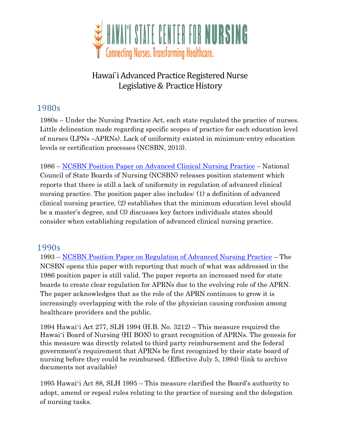

# Hawai`i Advanced Practice Registered Nurse Legislative & Practice History

# 1980s

1980s – Under the Nursing Practice Act, each state regulated the practice of nurses. Little delineation made regarding specific scopes of practice for each education level of nurses (LPNs –APRNs). Lack of uniformity existed in minimum-entry education levels or certification processes (NCSBN, 2013).

1986 – [NCSBN Position Paper on Advanced Clinical Nursing Practice](https://www.ncsbn.org/1986_Position_Paper_on_Advanced_Clinical_Nursing_Practice.pdf) – National Council of State Boards of Nursing (NCSBN) releases position statement which reports that there is still a lack of uniformity in regulation of advanced clinical nursing practice. The position paper also includes: (1) a definition of advanced clinical nursing practice, (2) establishes that the minimum education level should be a master's degree, and (3) discusses key factors individuals states should consider when establishing regulation of advanced clinical nursing practice.

#### 1990s

1993 – [NCSBN Position Paper on Regulation of Advanced Nursing Practice](https://www.ncsbn.org/1993_Position_Paper_on_the_Regulation_of_Advanced_Nursing_Practice.pdf) – The NCSBN opens this paper with reporting that much of what was addressed in the 1986 position paper is still valid. The paper reports an increased need for state boards to create clear regulation for APRNs due to the evolving role of the APRN. The paper acknowledges that as the role of the APRN continues to grow it is increasingly overlapping with the role of the physician causing confusion among healthcare providers and the public.

1994 Hawaiʻi Act 277, SLH 1994 (H.B. No. 3212) – This measure required the Hawaiʻi Board of Nursing (HI BON) to grant recognition of APRNs. The genesis for this measure was directly related to third party reimbursement and the federal government's requirement that APRNs be first recognized by their state board of nursing before they could be reimbursed. (Effective July 5, 1994) (link to archive documents not available)

of nursing tasks. 1995 Hawaiʻi Act 88, SLH 1995 – This measure clarified the Board's authority to adopt, amend or repeal rules relating to the practice of nursing and the delegation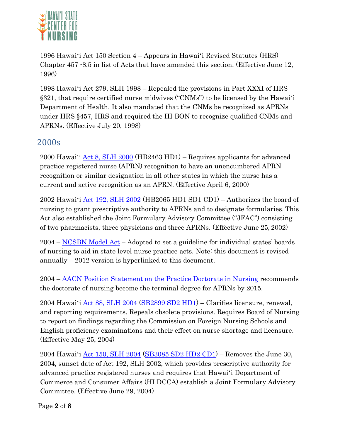

1996 Hawaiʻi Act 150 Section 4 – Appears in Hawaiʻi Revised Statutes (HRS) Chapter 457 -8.5 in list of Acts that have amended this section. (Effective June 12, 1996)

1998 Hawaiʻi Act 279, SLH 1998 – Repealed the provisions in Part XXXI of HRS §321, that require certified nurse midwives ("CNMs") to be licensed by the Hawaiʻi Department of Health. It also mandated that the CNMs be recognized as APRNs under HRS §457, HRS and required the HI BON to recognize qualified CNMs and APRNs. (Effective July 20, 1998)

## 2000s

2000 Hawaiʻi [Act 8, SLH 2000](http://www.capitol.hawaii.gov/session2000/acts/Act008_HB2463_HD1_.htm) (HB2463 HD1) – Requires applicants for advanced practice registered nurse (APRN) recognition to have an unencumbered APRN recognition or similar designation in all other states in which the nurse has a current and active recognition as an APRN. (Effective April 6, 2000)

2002 Hawaiʻi [Act 192, SLH 2002](http://www.capitol.hawaii.gov/Archives/measure_indiv_Archives.aspx?billtype=HB&billnumber=2065&year=2002) (HB2065 HD1 SD1 CD1) – Authorizes the board of nursing to grant prescriptive authority to APRNs and to designate formularies. This Act also established the Joint Formulary Advisory Committee ("JFAC") consisting of two pharmacists, three physicians and three APRNs. (Effective June 25, 2002)

2004 – [NCSBN Model Act](https://www.ncsbn.org/12_Model_Act_090512.pdf) – Adopted to set a guideline for individual states' boards of nursing to aid in state level nurse practice acts. Note: this document is revised annually – 2012 version is hyperlinked to this document.

2004 – [AACN Position Statement on the Practice Doctorate in Nursing](http://www.aacn.nche.edu/publications/position/DNPpositionstatement.pdf) recommends the doctorate of nursing become the terminal degree for APRNs by 2015.

2004 Hawaiʻi [Act 88, SLH 2004](http://www.capitol.hawaii.gov/session2004/lists/getstatus2.asp?billno=SB2899) [\(SB2899 SD2 HD1\)](http://www.capitol.hawaii.gov/session2004/bills/SB2899_hd1_.htm) – Clarifies licensure, renewal, and reporting requirements. Repeals obsolete provisions. Requires Board of Nursing to report on findings regarding the Commission on Foreign Nursing Schools and English proficiency examinations and their effect on nurse shortage and licensure. (Effective May 25, 2004)

2004 Hawai'i  $\text{Act}$  150, SLH 2004 [\(SB3085 SD2 HD2 CD1\)](http://www.capitol.hawaii.gov/session2004/bills/SB3085_cd1_.htm) – Removes the June 30, 2004, sunset date of Act 192, SLH 2002, which provides prescriptive authority for advanced practice registered nurses and requires that Hawaiʻi Department of Commerce and Consumer Affairs (HI DCCA) establish a Joint Formulary Advisory Committee. (Effective June 29, 2004)

Page 2 of 8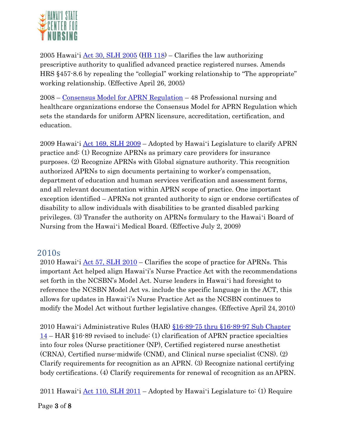

2005 Hawaiʻi [Act 30, SLH 2005](http://www.capitol.hawaii.gov/session2005/status/HB1118.asp) [\(HB 118\)](http://www.capitol.hawaii.gov/session2005/bills/HB1118_.htm) – Clarifies the law authorizing prescriptive authority to qualified advanced practice registered nurses. Amends HRS §457-8.6 by repealing the "collegial" working relationship to "The appropriate" working relationship. (Effective April 26, 2005)

2008 – [Consensus Model for APRN Regulation](https://www.ncsbn.org/Consensus_Model_for_APRN_Regulation_July_2008.pdf) – 48 Professional nursing and healthcare organizations endorse the Consensus Model for APRN Regulation which sets the standards for uniform APRN licensure, accreditation, certification, and education.

2009 Hawaiʻi [Act 169, SLH 2009](http://www.capitol.hawaii.gov/session2009/bills/GM788_.PDF) – Adopted by Hawaiʻi Legislature to clarify APRN practice and: (1) Recognize APRNs as primary care providers for insurance purposes. (2) Recognize APRNs with Global signature authority. This recognition authorized APRNs to sign documents pertaining to worker's compensation, department of education and human services verification and assessment forms, and all relevant documentation within APRN scope of practice. One important exception identified – APRNs not granted authority to sign or endorse certificates of disability to allow individuals with disabilities to be granted disabled parking privileges. (3) Transfer the authority on APRNs formulary to the Hawaiʻi Board of Nursing from the Hawaiʻi Medical Board. (Effective July 2, 2009)

### 2010s

2010 Hawai'i  $\text{Act } 57$ , SLH 2010 – Clarifies the scope of practice for APRNs. This important Act helped align Hawaiʻi's Nurse Practice Act with the recommendations set forth in the NCSBN's Model Act. Nurse leaders in Hawaiʻi had foresight to reference the NCSBN Model Act vs. include the specific language in the ACT, this allows for updates in Hawaiʻi's Nurse Practice Act as the NCSBN continues to modify the Model Act without further legislative changes. (Effective April 24, 2010)

2010 Hawaiʻi Administrative Rules (HAR) [§16-89-75 thru §16-89-97 Sub Chapter](http://hawaii.gov/dcca/pvl/har/har_89-c.pdf) [14](http://hawaii.gov/dcca/pvl/har/har_89-c.pdf) – HAR §16-89 revised to include: (1) clarification of APRN practice specialties into four roles (Nurse practitioner (NP), Certified registered nurse anesthetist (CRNA), Certified nurse-midwife (CNM), and Clinical nurse specialist (CNS). (2) Clarify requirements for recognition as an APRN. (3) Recognize national certifying body certifications. (4) Clarify requirements for renewal of recognition as anAPRN.

2011 Hawai'i  $\text{Act}$  110, SLH 2011 – Adopted by Hawai'i Legislature to: (1) Require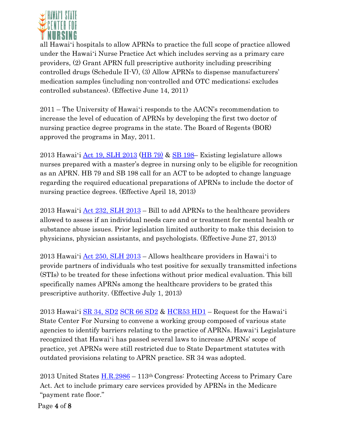

all Hawaiʻi hospitals to allow APRNs to practice the full scope of practice allowed under the Hawaiʻi Nurse Practice Act which includes serving as a primary care providers, (2) Grant APRN full prescriptive authority including prescribing controlled drugs (Schedule II-V), (3) Allow APRNs to dispense manufacturers' medication samples (including non-controlled and OTC medications; excludes controlled substances). (Effective June 14, 2011)

2011 – The University of Hawaiʻi responds to the AACN's recommendation to increase the level of education of APRNs by developing the first two doctor of nursing practice degree programs in the state. The Board of Regents (BOR) approved the programs in May, 2011.

2013 Hawaiʻi [Act 19, SLH 2013](http://capitol.hawaii.gov/Archives/measure_indiv_Archives.aspx?billtype=HB&billnumber=79&year=2013) [\(HB 79\)](http://www.capitol.hawaii.gov/session2013/Bills/HB79_.PDF) & [SB 198](http://www.capitol.hawaii.gov/session2013/bills/SB198_.pdf)– Existing legislature allows nurses prepared with a master's degree in nursing only to be eligible for recognition as an APRN. HB 79 and SB 198 call for an ACT to be adopted to change language regarding the required educational preparations of APRNs to include the doctor of nursing practice degrees. (Effective April 18, 2013)

2013 Hawai'i  $\text{Act}$  [232, SLH 2013](http://capitol.hawaii.gov/Archives/measure_indiv_Archives.aspx?billtype=SB&billnumber=44&year=2013) – Bill to add APRNs to the healthcare providers allowed to assess if an individual needs care and or treatment for mental health or substance abuse issues. Prior legislation limited authority to make this decision to physicians, physician assistants, and psychologists. (Effective June 27, 2013)

2013 Hawai'i  $\text{Act } 250$ , SLH 2013 – Allows healthcare providers in Hawai'i to provide partners of individuals who test positive for sexually transmitted infections (STIs) to be treated for these infections without prior medical evaluation. This bill specifically names APRNs among the healthcare providers to be grated this prescriptive authority. (Effective July 1, 2013)

2013 Hawaiʻi [SR 34, SD2](http://capitol.hawaii.gov/Archives/measure_indiv_Archives.aspx?billtype=SR&billnumber=34&year=2013) [SCR 66 S](http://www.capitol.hawaii.gov/session2013/bills/SCR66_SD2_.pdf)D2 & [HCR53 HD1](http://capitol.hawaii.gov/Archives/measure_indiv_Archives.aspx?billtype=HCR&billnumber=53&year=2013) – Request for the Hawaiʻi State Center For Nursing to convene a working group composed of various state agencies to identify barriers relating to the practice of APRNs. Hawaiʻi Legislature recognized that Hawaiʻi has passed several laws to increase APRNs' scope of practice, yet APRNs were still restricted due to State Department statutes with outdated provisions relating to APRN practice. SR 34 was adopted.

2013 United States [H.R.2986](http://beta.congress.gov/bill/113th/house-bill/2986/text?q=%7B%22search%22%3A%5B%22HR%202986%22%5D%7D) – 113th Congress: Protecting Access to Primary Care Act. Act to include primary care services provided by APRNs in the Medicare "payment rate floor."

Page 4 of 8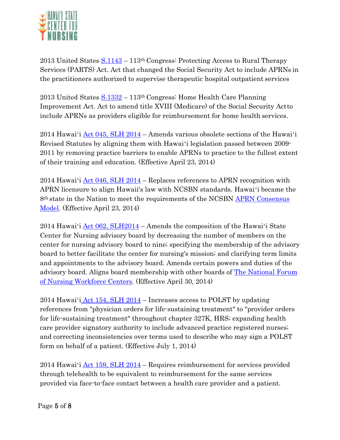

2013 United States  $S.1143 - 113$ <sup>th</sup> Congress: Protecting Access to Rural Therapy Services (PARTS) Act. Act that changed the Social Security Act to include APRNs in the practitioners authorized to supervise therapeutic hospital outpatient services

2013 United States  $S.1332 - 113$ <sup>th</sup> Congress: Home Health Care Planning Improvement Act. Act to amend title XVIII (Medicare) of the Social Security Actto include APRNs as providers eligible for reimbursement for home health services.

2014 Hawaiʻi [Act 045, SLH 2014](http://capitol.hawaii.gov/Archives/measure_indiv_Archives.aspx?billtype=SB&billnumber=2492&year=2014) – Amends various obsolete sections of the Hawaiʻi Revised Statutes by aligning them with Hawaiʻi legislation passed between 2009- 2011 by removing practice barriers to enable APRNs to practice to the fullest extent of their training and education. (Effective April 23, 2014)

2014 Hawai'i  $\text{Act}$  046, SLH 2014 – Replaces references to APRN recognition with APRN licensure to align Hawaii's law with NCSBN standards. Hawaiʻi became the 8th state in the Nation to meet the requirements of the NCSBN [APRN Consensus](https://m.ncsbn.org/4214.htm) [Model.](https://m.ncsbn.org/4214.htm) (Effective April 23, 2014)

2014 Hawai'i  $\text{Act } 062$ , SLH2014 – Amends the composition of the Hawai'i State Center for Nursing advisory board by decreasing the number of members on the center for nursing advisory board to nine; specifying the membership of the advisory board to better facilitate the center for nursing's mission; and clarifying term limits and appointments to the advisory board. Amends certain powers and duties of the advisory board. Aligns board membership with other boards of [The National Forum](http://nursingworkforcecenters.org/) [of Nursing Workforce Centers.](http://nursingworkforcecenters.org/) (Effective April 30, 2014)

2014 Hawaiʻi [Act 154, SLH 2014](http://capitol.hawaii.gov/Archives/measure_indiv_Archives.aspx?billtype=HB&billnumber=2052&year=2014) – Increases access to POLST by updating references from "physician orders for life-sustaining treatment" to "provider orders for life-sustaining treatment" throughout chapter 327K, HRS; expanding health care provider signatory authority to include advanced practice registered nurses; and correcting inconsistencies over terms used to describe who may sign a POLST form on behalf of a patient. (Effective July 1, 2014)

2014 Hawaiʻi [Act 159, SLH 2014](http://capitol.hawaii.gov/Archives/measure_indiv_Archives.aspx?billtype=SB&billnumber=2469&year=2014) – Requires reimbursement for services provided through telehealth to be equivalent to reimbursement for the same services provided via face-to-face contact between a health care provider and a patient.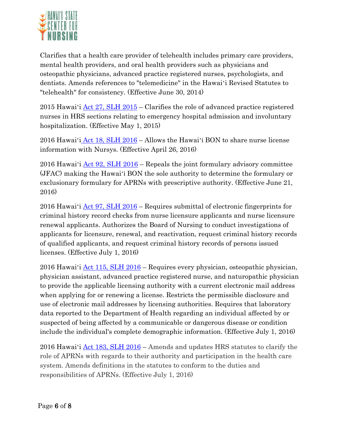

Clarifies that a health care provider of telehealth includes primary care providers, mental health providers, and oral health providers such as physicians and osteopathic physicians, advanced practice registered nurses, psychologists, and dentists. Amends references to "telemedicine" in the Hawaiʻi Revised Statutes to "telehealth" for consistency. (Effective June 30, 2014)

2015 Hawai'i  $\text{Act } 27$ , SLH 2015 – Clarifies the role of advanced practice registered nurses in HRS sections relating to emergency hospital admission and involuntary hospitalization. (Effective May 1, 2015)

2016 Hawaiʻi Act 18, SLH 2016 – Allows the Hawaiʻi BON to share nurse license information with Nursys. (Effective April 26, 2016)

2016 Hawai'i  $\text{Act } 92$ , SLH 2016 – Repeals the joint formulary advisory committee (JFAC) making the Hawaiʻi BON the sole authority to determine the formulary or exclusionary formulary for APRNs with prescriptive authority. (Effective June 21, 2016)

2016 Hawaiʻi [Act 97, SLH 2016](http://www.capitol.hawaii.gov/session2016/bills/GM1198_.PDF) – Requires submittal of electronic fingerprints for criminal history record checks from nurse licensure applicants and nurse licensure renewal applicants. Authorizes the Board of Nursing to conduct investigations of applicants for licensure, renewal, and reactivation, request criminal history records of qualified applicants, and request criminal history records of persons issued licenses. (Effective July 1, 2016)

2016 Hawai'i  $\text{Act}$  115, SLH 2016 – Requires every physician, osteopathic physician, physician assistant, advanced practice registered nurse, and naturopathic physician to provide the applicable licensing authority with a current electronic mail address when applying for or renewing a license. Restricts the permissible disclosure and use of electronic mail addresses by licensing authorities. Requires that laboratory data reported to the Department of Health regarding an individual affected by or suspected of being affected by a communicable or dangerous disease or condition include the individual's complete demographic information. (Effective July 1, 2016)

2016 Hawaiʻi [Act 183, SLH 2016](http://www.capitol.hawaii.gov/Archives/measure_indiv_Archives.aspx?billtype=SB&billnumber=2672&year=2016) – Amends and updates HRS statutes to clarify the role of APRNs with regards to their authority and participation in the health care system. Amends definitions in the statutes to conform to the duties and responsibilities of APRNs. (Effective July 1, 2016)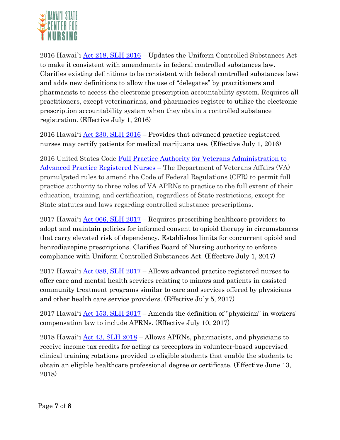

2016 Hawai`i  $\text{Act}$  218, SLH 2016 – Updates the Uniform Controlled Substances Act to make it consistent with amendments in federal controlled substances law. Clarifies existing definitions to be consistent with federal controlled substances law; and adds new definitions to allow the use of "delegates" by practitioners and pharmacists to access the electronic prescription accountability system. Requires all practitioners, except veterinarians, and pharmacies register to utilize the electronic prescription accountability system when they obtain a controlled substance registration. (Effective July 1, 2016)

2016 Hawai'i  $\text{Act}$  230, SLH 2016 – Provides that advanced practice registered nurses may certify patients for medical marijuana use. (Effective July 1, 2016)

2016 United States Code [Full Practice Authority for Veterans Administration to](https://www.va.gov/opa/pressrel/pressrelease.cfm?id=2847) [Advanced Practice Registered Nurses](https://www.va.gov/opa/pressrel/pressrelease.cfm?id=2847) – The Department of Veterans Affairs (VA) promulgated rules to amend the Code of Federal Regulations (CFR) to permit full practice authority to three roles of VA APRNs to practice to the full extent of their education, training, and certification, regardless of State restrictions, except for State statutes and laws regarding controlled substance prescriptions.

2017 Hawai'i  $\text{Act } 066$ , SLH 2017 – Requires prescribing healthcare providers to adopt and maintain policies for informed consent to opioid therapy in circumstances that carry elevated risk of dependency. Establishes limits for concurrent opioid and benzodiazepine prescriptions. Clarifies Board of Nursing authority to enforce compliance with Uniform Controlled Substances Act. (Effective July 1, 2017)

2017 Hawai'i <u>Act 088, SLH 2017</u> – Allows advanced practice registered nurses to offer care and mental health services relating to minors and patients in assisted community treatment programs similar to care and services offered by physicians and other health care service providers. (Effective July 5, 2017)

2017 Hawai'i <u>Act 153, SLH 2017</u> – Amends the definition of "physician" in workers' compensation law to include APRNs. (Effective July 10, 2017)

2018 Hawai'i  $\frac{\text{Act}}{\text{Act}}$  43, SLH 2018 – Allows APRNs, pharmacists, and physicians to receive income tax credits for acting as preceptors in volunteer-based supervised clinical training rotations provided to eligible students that enable the students to obtain an eligible healthcare professional degree or certificate. (Effective June 13, 2018)